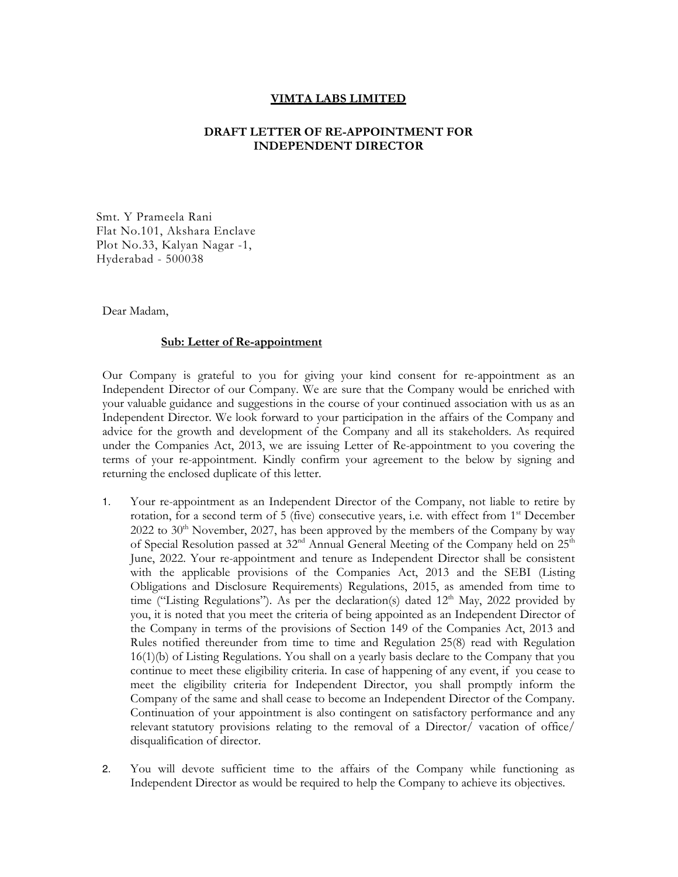## VIMTA LABS LIMITED

## DRAFT LETTER OF RE-APPOINTMENT FOR INDEPENDENT DIRECTOR

Smt. Y Prameela Rani Flat No.101, Akshara Enclave Plot No.33, Kalyan Nagar -1, Hyderabad - 500038

Dear Madam,

## Sub: Letter of Re-appointment

Our Company is grateful to you for giving your kind consent for re-appointment as an Independent Director of our Company. We are sure that the Company would be enriched with your valuable guidance and suggestions in the course of your continued association with us as an Independent Director. We look forward to your participation in the affairs of the Company and advice for the growth and development of the Company and all its stakeholders. As required under the Companies Act, 2013, we are issuing Letter of Re-appointment to you covering the terms of your re-appointment. Kindly confirm your agreement to the below by signing and returning the enclosed duplicate of this letter.

- 1. Your re-appointment as an Independent Director of the Company, not liable to retire by rotation, for a second term of 5 (five) consecutive years, i.e. with effect from  $1<sup>st</sup>$  December  $2022$  to  $30<sup>th</sup>$  November, 2027, has been approved by the members of the Company by way of Special Resolution passed at 32<sup>nd</sup> Annual General Meeting of the Company held on 25<sup>th</sup> June, 2022. Your re-appointment and tenure as Independent Director shall be consistent with the applicable provisions of the Companies Act, 2013 and the SEBI (Listing Obligations and Disclosure Requirements) Regulations, 2015, as amended from time to time ("Listing Regulations"). As per the declaration(s) dated  $12<sup>th</sup>$  May, 2022 provided by you, it is noted that you meet the criteria of being appointed as an Independent Director of the Company in terms of the provisions of Section 149 of the Companies Act, 2013 and Rules notified thereunder from time to time and Regulation 25(8) read with Regulation 16(1)(b) of Listing Regulations. You shall on a yearly basis declare to the Company that you continue to meet these eligibility criteria. In case of happening of any event, if you cease to meet the eligibility criteria for Independent Director, you shall promptly inform the Company of the same and shall cease to become an Independent Director of the Company. Continuation of your appointment is also contingent on satisfactory performance and any relevant statutory provisions relating to the removal of a Director/ vacation of office/ disqualification of director.
- 2. You will devote sufficient time to the affairs of the Company while functioning as Independent Director as would be required to help the Company to achieve its objectives.